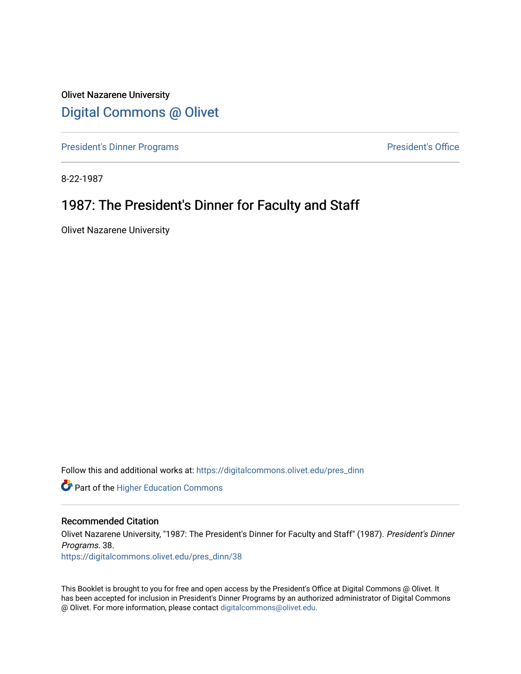Olivet Nazarene University [Digital Commons @ Olivet](https://digitalcommons.olivet.edu/)

[President's Dinner Programs](https://digitalcommons.olivet.edu/pres_dinn) **President's Office** 

8-22-1987

### 1987: The President's Dinner for Faculty and Staff

Olivet Nazarene University

Follow this and additional works at: [https://digitalcommons.olivet.edu/pres\\_dinn](https://digitalcommons.olivet.edu/pres_dinn?utm_source=digitalcommons.olivet.edu%2Fpres_dinn%2F38&utm_medium=PDF&utm_campaign=PDFCoverPages)

**Part of the Higher Education Commons** 

#### Recommended Citation

Olivet Nazarene University, "1987: The President's Dinner for Faculty and Staff" (1987). President's Dinner Programs. 38.

[https://digitalcommons.olivet.edu/pres\\_dinn/38](https://digitalcommons.olivet.edu/pres_dinn/38?utm_source=digitalcommons.olivet.edu%2Fpres_dinn%2F38&utm_medium=PDF&utm_campaign=PDFCoverPages) 

This Booklet is brought to you for free and open access by the President's Office at Digital Commons @ Olivet. It has been accepted for inclusion in President's Dinner Programs by an authorized administrator of Digital Commons @ Olivet. For more information, please contact [digitalcommons@olivet.edu.](mailto:digitalcommons@olivet.edu)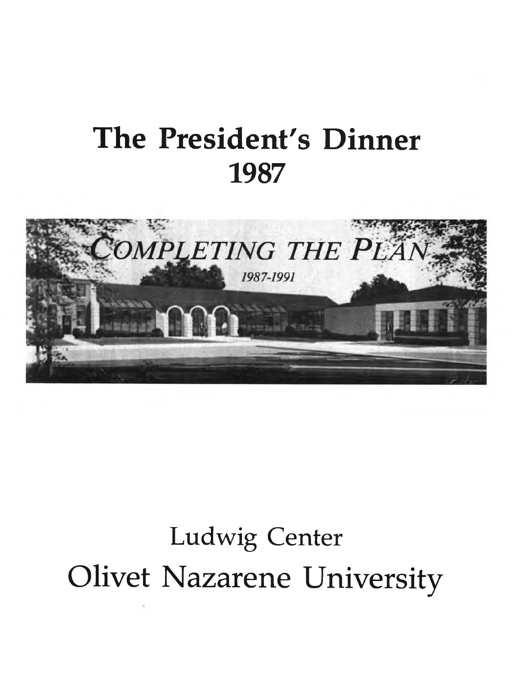# **The President's Dinner 1987**



# **Ludwig Center** Olivet Nazarene University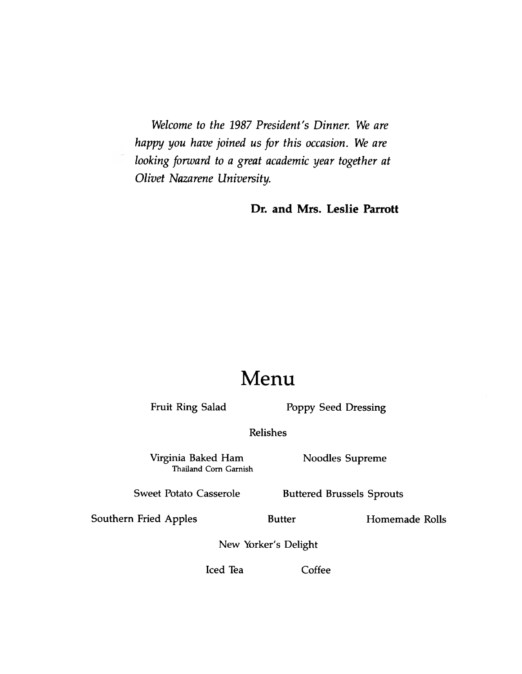*Welcome to the 1987 President's Dinner. We are happy you have joined us for this occasion. We are looking forward to a great academic year together at Olivet Nazarene University.*

**Dr. and Mrs. Leslie Parrott**

## **Menu**

Fruit Ring Salad Poppy Seed Dressing

**Relishes**

**Virginia Baked Ham Noodles Supreme** Thailand Corn Garnish

Sweet Potato Casserole **Buttered Brussels Sprouts** 

Southern Fried Apples **Butter** Homemade Rolls

**New Yorker's Delight**

**Iced Tea Coffee**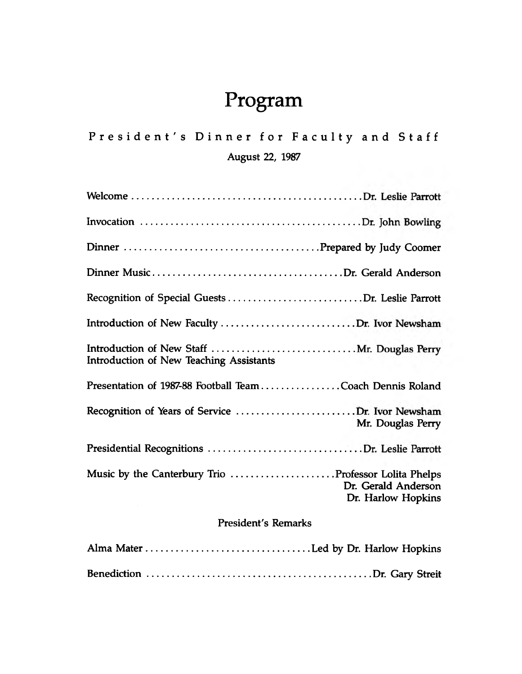# **Program**

**P r e s i d e n t ' s Dinner for Faculty and Staff August 22, 1987**

| Introduction of New Teaching Assistants                                                           |
|---------------------------------------------------------------------------------------------------|
| Presentation of 1987-88 Football Team Coach Dennis Roland                                         |
| Recognition of Years of Service Dr. Ivor Newsham<br>Mr. Douglas Perry                             |
|                                                                                                   |
| Music by the Canterbury Trio Professor Lolita Phelps<br>Dr. Gerald Anderson<br>Dr. Harlow Hopkins |

### **President's Remarks**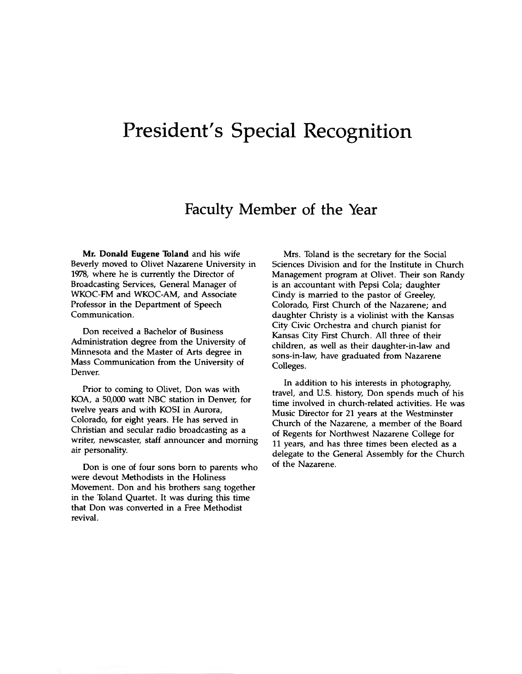## **President's Special Recognition**

### **Faculty Member of the Year**

**Mr. Donald Eugene Toland** and his wife Beverly moved to Olivet Nazarene University in 1978, where he is currently the Director of Broadcasting Services, General Manager of WKOC-FM and WKOC-AM, and Associate Professor in the Department of Speech Communication.

Don received a Bachelor of Business Administration degree from the University of Minnesota and the Master of Arts degree in Mass Communication from the University of Denver.

Prior to coming to Olivet, Don was with KOA, a 50,000 watt NBC station in Denver, for twelve years and with KOSI in Aurora, Colorado, for eight years. He has served in Christian and secular radio broadcasting as a writer, newscaster, staff announcer and morning air personality.

Don is one of four sons born to parents who were devout Methodists in the Holiness Movement. Don and his brothers sang together in the Toland Quartet. It was during this time that Don was converted in a Free Methodist revival.

Mrs. Toland is the secretary for the Social Sciences Division and for the Institute in Church Management program at Olivet. Their son Randy is an accountant with Pepsi Cola; daughter Cindy is married to the pastor of Greeley, Colorado, First Church of the Nazarene; and daughter Christy is a violinist with the Kansas City Civic Orchestra and church pianist for Kansas City First Church. All three of their children, as well as their daughter-in-law and sons-in-law, have graduated from Nazarene Colleges.

In addition to his interests in photography, travel, and U.S. history, Don spends much of his time involved in church-related activities. He was Music Director for 21 years at the Westminster Church of the Nazarene, a member of the Board of Regents for Northwest Nazarene College for 11 years, and has three times been elected as a delegate to the General Assembly for the Church of the Nazarene.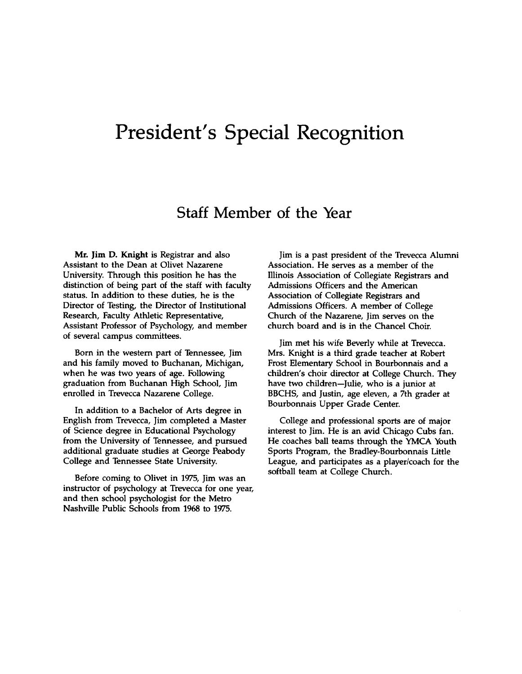## **President's Special Recognition**

### **Staff Member of the Year**

**Mr. Jim D. Knight** is Registrar and also Assistant to the Dean at Olivet Nazarene University. Through this position he has the distinction of being part of the staff with faculty status. In addition to these duties, he is the Director of Testing, the Director of Institutional Research, Faculty Athletic Representative, Assistant Professor of Psychology, and member of several campus committees.

Born in the western part of Tennessee, Jim and his family moved to Buchanan, Michigan, when he was two years of age. Following graduation from Buchanan High School, Jim enrolled in Trevecca Nazarene College.

In addition to a Bachelor of Arts degree in English from Trevecca, Jim completed a Master of Science degree in Educational Psychology from the University of Tennessee, and pursued additional graduate studies at George Peabody College and Tennessee State University.

Before coming to Olivet in 1975, Jim was an instructor of psychology at Trevecca for one year, and then school psychologist for the Metro Nashville Public Schools from 1968 to 1975.

Jim is a past president of the Trevecca Alumni Association. He serves as a member of the Illinois Association of Collegiate Registrars and Admissions Officers and the American Association of Collegiate Registrars and Admissions Officers. A member of College Church of the Nazarene, Jim serves on the church board and is in the Chancel Choir.

Jim met his wife Beverly while at Trevecca. Mrs. Knight is a third grade teacher at Robert Frost Elementary School in Bourbonnais and a children's choir director at College Church. They have two children—Julie, who is a junior at BBCHS, and Justin, age eleven, a 7th grader at Bourbonnais Upper Grade Center.

College and professional sports are of major interest to Jim. He is an avid Chicago Cubs fan. He coaches ball teams through the YMCA Youth Sports Program, the Bradley-Bourbonnais Little League, and participates as a player/coach for the softball team at College Church.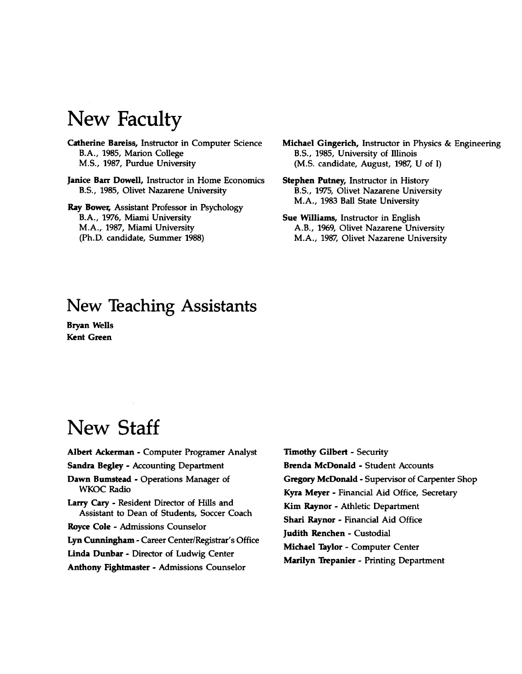# **New Faculty**

**Catherine Bareiss,** Instructor in Computer Science B.A., 1985, Marion College M.S., 1987, Purdue University

**Janice Barr Dowell,** Instructor in Home Economics B.S., 1985, Olivet Nazarene University

**Ray Bower,** Assistant Professor in Psychology B.A., 1976, Miami University M.A., 1987, Miami University (Ph.D. candidate, Summer 1988)

**Michael Gingerich,** Instructor in Physics & Engineering B.S., 1985, University of Illinois (M.S. candidate, August, 1987, U of I)

**Stephen Putney,** Instructor in History B.S., 1975, Olivet Nazarene University M.A., 1983 Ball State University

**Sue Williams,** Instructor in English A.B., 1969, Olivet Nazarene University M.A., 1987, Olivet Nazarene University

### **New Teaching Assistants**

**Bryan Wells Kent Green**

# **New Staff**

**Albert Ackerman** - Computer Programer Analyst **Sandra Begley** - Accounting Department **Dawn Bumstead** - Operations Manager of WKOC Radio **Larry Cary** - Resident Director of Hills and Assistant to Dean of Students, Soccer Coach **Royce Cole** - Admissions Counselor **Lyn Cunningham** - Career Center/Registrar's Office **Linda Dunbar** - Director of Ludwig Center **Anthony Fightmaster** - Admissions Counselor

**Timothy Gilbert** - Security **Brenda McDonald** - Student Accounts **Gregory McDonald** - Supervisor of Carpenter Shop **Kyra Meyer** - Financial Aid Office, Secretary **Kim Raynor** - Athletic Department **Shari Raynor** - Financial Aid Office **Judith Renchen** - Custodial **Michael Taylor** - Computer Center **Marilyn Trepanier** - Printing Department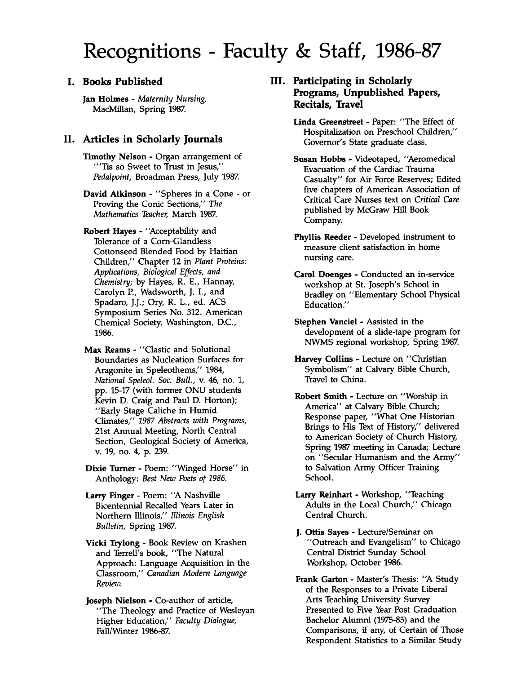# **Recognitions - Faculty & Staff, 1986-87**

#### **I. Books Published**

Jan Holmes - *Maternity Nursing,* MacMillan, Spring 1987.

#### **II. Articles in Scholarly Journals**

Timothy Nelson - Organ arrangement of "Tis so Sweet to Trust in Jesus," *Pedalpoint,* Broadman Press, July 1987.

David Atkinson - "Spheres in a Cone - or Proving the Conic Sections," *The Mathematics Teacher,* March 1987.

Robert Hayes - "Acceptability and Tolerance of a Corn-Glandless Cottonseed Blended Food by Haitian Children," Chapter 12 in *Plant Proteins: Applications, Biological Effects, and Chemistry;* by Hayes, R. E., Hannay, Carolyn P., Wadsworth, J. I., and Spadaro, J.J.; Ory, R. L., ed. ACS Symposium Series No. 312. American Chemical Society, Washington, D.C., 1986.

Max Reams - "Clastic and Solutional Boundaries as Nucleation Surfaces for Aragonite in Speleothems," 1984, *National Speleol. Soc. Bull.,* v. 46, no. 1, pp. 15-17 (with former ONU students Kevin D. Craig and Paul D. Horton); "Early Stage Caliche in Humid Climates," *1987 Abstracts with Programs,* 21st Annual Meeting, North Central Section, Geological Society of America, v. 19, no. 4, p. 239.

Dixie Turner - Poem: "Winged Horse" in Anthology: *Best New Poets of 1986.*

Larry Finger - Poem: "A Nashville Bicentennial Recalled Years Later in Northern Illinois," *Illinois English Bulletin,* Spring 1987.

Vicki Trylong - Book Review on Krashen and Terrell's book, "The Natural Approach: Language Acquisition in the Classroom," *Canadian Modem Language Review.*

Joseph Nielson - Co-author of article, "The Theology and Practice of Wesleyan Higher Education," *Faculty Dialogue,* Fall/Winter 1986-87.

#### **III. Participating in Scholarly Programs, Unpublished Papers, Recitals, Travel**

Linda Greenstreet - Paper: "The Effect of Hospitalization on Preschool Children," Governor's State graduate class.

Susan Hobbs - Videotaped, "Aeromedical Evacuation of the Cardiac Trauma Casualty" for Air Force Reserves; Edited five chapters of American Association of Critical Care Nurses text on *Critical Care* published by McGraw Hill Book Company.

Phyllis Reeder - Developed instrument to measure client satisfaction in home nursing care.

Carol Doenges - Conducted an in-service workshop at St. Joseph's School in Bradley on "Elementary School Physical Education."

Stephen Vanciel - Assisted in the development of a slide-tape program for NWMS regional workshop, Spring 1987.

Harvey Collins - Lecture on "Christian Symbolism" at Calvary Bible Church, Travel to China.

Robert Smith - Lecture on "Worship in America" at Calvary Bible Church; Response paper, "What One Historian Brings to His Text of History," delivered to American Society of Church History, Spring 1987 meeting in Canada; Lecture on "Secular Humanism and the Army" to Salvation Army Officer Training School.

Larry Reinhart - Workshop, "Teaching Adults in the Local Church," Chicago Central Church.

J. Ottis Sayes - Lecture/Seminar on "Outreach and Evangelism" to Chicago Central District Sunday School Workshop, October 1986.

Frank Garton - Master's Thesis: "A Study of the Responses to a Private Liberal Arts Teaching University Survey Presented to Five Year Post Graduation Bachelor Alumni (1975-85) and the Comparisons, if any, of Certain of Those Respondent Statistics to a Similar Study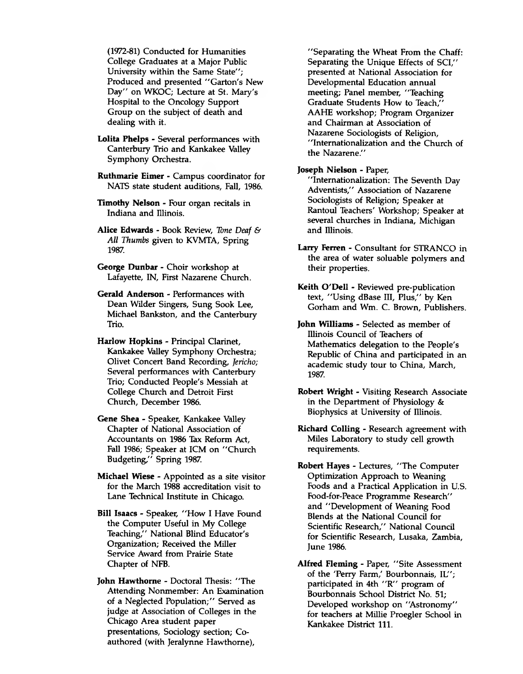(1972-81) Conducted for Humanities College Graduates at a Major Public University within the Same State": Produced and presented "Garton's New Day" on WKOC; Lecture at St. Mary's Hospital to the Oncology Support Group on the subject of death and dealing with it.

- **Lolita Phelps**  Several performances with Canterbury Trio and Kankakee Valley Symphony Orchestra.
- **Ruthmarie Eimer**  Campus coordinator for NATS state student auditions, Fall, 1986.
- **Timothy Nelson**  Four organ recitals in Indiana and Illinois.
- **Alice Edwards**  Book Review, *Tone Deaf & All Thumbs* given to KVMTA, Spring 1987.
- **George Dunbar**  Choir workshop at Lafayette, IN, First Nazarene Church.
- **Gerald Anderson**  Performances with Dean Wilder Singers, Sung Sook Lee, Michael Bankston, and the Canterbury Trio.
- **Harlow Hopkins**  Principal Clarinet, Kankakee Valley Symphony Orchestra; Olivet Concert Band Recording, *fericho;* Several performances with Canterbury Trio; Conducted People's Messiah at College Church and Detroit First Church, December 1986.
- **Gene Shea**  Speaker, Kankakee Valley Chapter of National Association of Accountants on 1986 Tax Reform Act, Fall 1986; Speaker at ICM on "Church Budgeting," Spring 1987.
- **Michael Wiese**  Appointed as a site visitor for the March 1988 accreditation visit to Lane Technical Institute in Chicago.
- **Bill Isaacs**  Speaker, "How **I** Have Found the Computer Useful in My College Teaching," National Blind Educator's Organization; Received the Miller Service Award from Prairie State Chapter of NFB.
- **John Hawthorne**  Doctoral Thesis: "The Attending Nonmember: An Examination of a Neglected Population;" Served as judge at Association of Colleges in the Chicago Area student paper presentations, Sociology section; Coauthored (with Jeralynne Hawthorne),

"Separating the Wheat From the Chaff: Separating the Unique Effects of SCI/' presented at National Association for Developmental Education annual meeting; Panel member, "Teaching Graduate Students How to Teach," AAHE workshop; Program Organizer and Chairman at Association of Nazarene Sociologists of Religion, "Internationalization and the Church of the Nazarene."

#### **Joseph Nielson** - Paper,

"Internationalization: The Seventh Day Adventists," Association of Nazarene Sociologists of Religion; Speaker at Rantoul Teachers' Workshop; Speaker at several churches in Indiana, Michigan and Illinois.

- **Larry Ferren**  Consultant for STRANCO in the area of water soluable polymers and their properties.
- **Keith O'Dell**  Reviewed pre-publication text, "Using dBase III, Plus," by Ken Gorham and Wm. C. Brown, Publishers.
- **John Williams**  Selected as member of Illinois Council of Teachers of Mathematics delegation to the People's Republic of China and participated in an academic study tour to China, March, 1987.
- **Robert Wright**  Visiting Research Associate in the Department of Physiology & Biophysics at University of Illinois.
- **Richard Colling**  Research agreement with Miles Laboratory to study cell growth requirements.
- **Robert Hayes**  Lectures, "The Computer Optimization Approach to Weaning Foods and a Practical Application in U.S. Food-for-Peace Programme Research" and "Development of Weaning Food Blends at the National Council for Scientific Research," National Council for Scientific Research, Lusaka, Zambia, June 1986.
- **Alfred Fleming**  Paper, "Site Assessment of the 'Perry Farm,' Bourbonnais, IL"; participated in 4th "R" program of Bourbonnais School District No. 51; Developed workshop on "Astronomy" for teachers at Millie Proegler School in Kankakee District 111.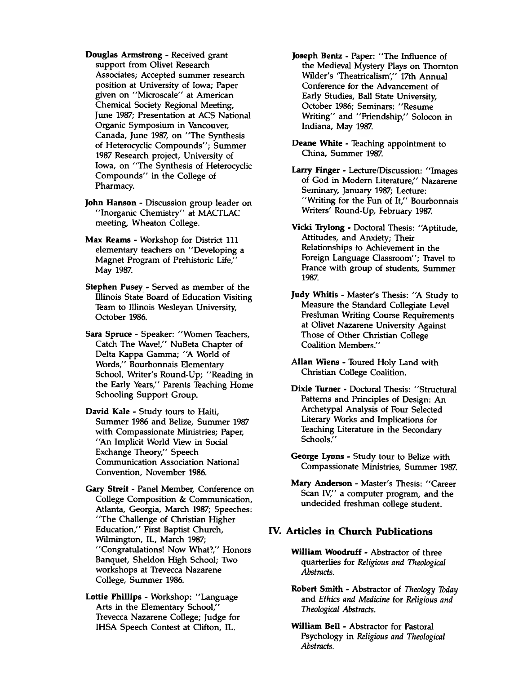- **Douglas Armstrong**  Received grant support from Olivet Research Associates; Accepted summer research position at University of Iowa; Paper given on "Microscale" at American Chemical Society Regional Meeting, June 1987; Presentation at ACS National Organic Symposium in Vancouver, Canada, June 1987, on "The Synthesis of Heterocyclic Compounds"; Summer 1987 Research project, University of Iowa, on "The Synthesis of Heterocyclic Compounds" in the College of Pharmacy.
- **John Hanson**  Discussion group leader on "Inorganic Chemistry" at MACTLAC meeting, Wheaton College.
- **Max Reams**  Workshop for District 111 elementary teachers on "Developing a Magnet Program of Prehistoric Life,' May 1987.
- **Stephen Pusey**  Served as member of the Illinois State Board of Education Visiting Team to Illinois Wesleyan University, October 1986.
- **Sara Spruce**  Speaker: "Women Teachers, Catch The Wave!," NuBeta Chapter of Delta Kappa Gamma; "A World of Words," Bourbonnais Elementary School, Writer's Round-Up; "Reading in the Early Years," Parents Teaching Home Schooling Support Group.
- **David Kale**  Study tours to Haiti, Summer 1986 and Belize, Summer 1987 with Compassionate Ministries; Paper, "An Implicit World View in Social Exchange Theory," Speech Communication Association National Convention, November 1986.
- **Gary Streit**  Panel Member, Conference on College Composition & Communication, Atlanta, Georgia, March 1987; Speeches: "The Challenge of Christian Higher Education," First Baptist Church, Wilmington, IL, March 1987; "Congratulations! Now What?," Honors Banquet, Sheldon High School; Two workshops at Trevecca Nazarene College, Summer 1986.
- **Lottie Phillips**  Workshop: "Language Arts in the Elementary School,' Trevecca Nazarene College; Judge for IHSA Speech Contest at Clifton, IL.
- **Joseph Bentz**  Paper: "The Influence of the Medieval Mystery Plays on Thornton Wilder's 'Theatricalism'," 17th Annual Conference for the Advancement of Early Studies, Ball State University, October 1986; Seminars: "Resume Writing" and "Friendship," Solocon in Indiana, May 1987.
- **Deane White**  Teaching appointment to China, Summer 1987.
- **Larry Finger**  Lecture/Discussion: "Images of God in Modem Literature," Nazarene Seminary, January 1987; Lecture: "Writing for the Fun of It," Bourbonnais Writers' Round-Up, February 1987.
- **Vicki Trylong**  Doctoral Thesis: "Aptitude, Attitudes, and Anxiety; Their Relationships to Achievement in the Foreign Language Classroom"; Travel to France with group of students, Summer 1987.
- **Judy Whitis**  Master's Thesis: "A Study to Measure the Standard Collegiate Level Freshman Writing Course Requirements at Olivet Nazarene University Against Those of Other Christian College Coalition Members."
- **Allan Wiens**  Toured Holy Land with Christian College Coalition.
- **Dixie Turner**  Doctoral Thesis: "Structural Patterns and Principles of Design: An Archetypal Analysis of Four Selected Literary Works and Implications for Teaching Literature in the Secondary Schools."
- **George Lyons**  Study tour to Belize with Compassionate Ministries, Summer 1987.
- **Mary Anderson**  Master's Thesis: "Career Scan IV," a computer program, and the undecided freshman college student.

#### **IV. Articles in Church Publications**

- **William Woodruff**  Abstractor of three quarterlies for *Religious and Theological Abstracts.*
- **Robert Smith**  Abstractor of *Theology Today* and *Ethics and Medicine* for *Religious and Theological Abstracts.*
- **William Bell**  Abstractor for Pastoral Psychology in *Religious and Theological Abstracts.*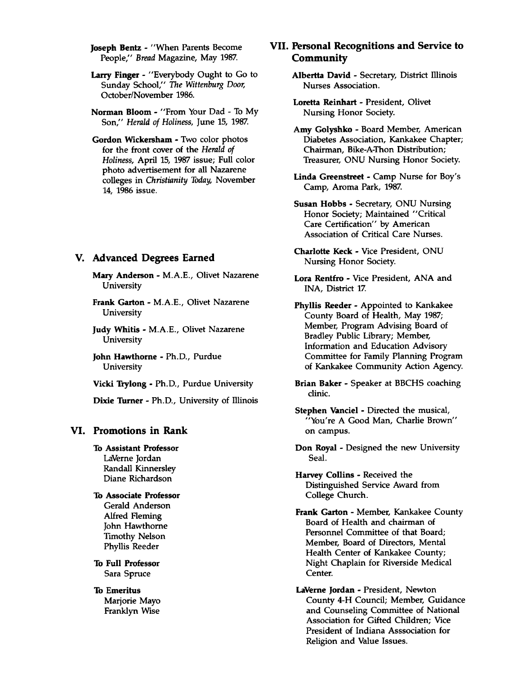**Joseph Bentz - "When Parents Become** People," *Bread* Magazine, May 1987.

- **Larry Finger**  "Everybody Ought to Go to Sunday School," *The Wittenburg Door,* October/November 1986.
- **Norman Bloom**  "From Your Dad To My Son," *Herald of Holiness,* June 15, 1987.
- **Gordon Wickersham**  Two color photos for the front cover of the *Herald of Holiness,* April 15, 1987 issue; Full color photo advertisement for all Nazarene colleges in *Christianity Today,* November 14, 1986 issue.

#### **V. Advanced Degrees Earned**

**Mary Anderson** - M.A.E., Olivet Nazarene University

**Frank Garton** - M.A.E., Olivet Nazarene University

**Judy Whitis** - M.A.E., Olivet Nazarene University

**John Hawthorne** - Ph.D., Purdue University

**Vicki Trylong** - Ph.D., Purdue University

**Dixie Turner** - Ph.D., University of Illinois

#### **VI. Promotions in Rank**

**To Assistant Professor** LaVerne Jordan Randall Kinnersley Diane Richardson

#### **To Associate Professor** Gerald Anderson

Alfred Fleming John Hawthorne Timothy Nelson Phyllis Reeder

**To Full Professor** Sara Spruce

**To Emeritus** Marjorie Mayo Franklyn Wise

#### **VII. Personal Recognitions and Service to Community**

**Albertta David** - Secretary, District Illinois Nurses Association.

**Loretta Reinhart** - President, Olivet Nursing Honor Society.

**Amy Golyshko** - Board Member, American Diabetes Association, Kankakee Chapter; Chairman, Bike-A-Thon Distribution; Treasurer, ONU Nursing Honor Society.

**Linda Greenstreet** - Camp Nurse for Boy's Camp, Aroma Park, 1987.

**Susan Hobbs** - Secretary, ONU Nursing Honor Society; Maintained "Critical Care Certification" by American Association of Critical Care Nurses.

- **Charlotte Keck**  Vice President, ONU Nursing Honor Society.
- **Lora Rentfro**  Vice President, ANA and INA, District 17.

**Phyllis Reeder** - Appointed to Kankakee County Board of Health, May 1987; Member, Program Advising Board of Bradley Public Library; Member, Information and Education Advisory Committee for Family Planning Program of Kankakee Community Action Agency.

- **Brian Baker**  Speaker at BBCHS coaching clinic.
- **Stephen Vanciel**  Directed the musical, "You're A Good Man, Charlie Brown" on campus.

**Don Royal** - Designed the new University Seal.

**Harvey Collins** - Received the Distinguished Service Award from College Church.

**Frank Garton** - Member, Kankakee County Board of Health and chairman of Personnel Committee of that Board; Member, Board of Directors, Mental Health Center of Kankakee County; Night Chaplain for Riverside Medical Center.

**LaVerne Jordan** - President, Newton County 4-H Council; Member, Guidance and Counseling Committee of National Association for Gifted Children; Vice President of Indiana Asssociation for Religion and Value Issues.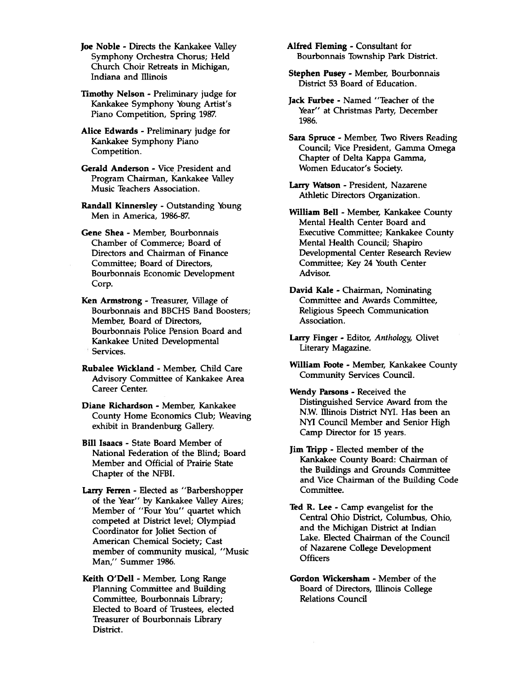**Joe Noble** - Directs the Kankakee Valley Symphony Orchestra Chorus; Held Church Choir Retreats in Michigan, Indiana and Illinois

**Timothy Nelson** - Preliminary judge for Kankakee Symphony Young Artist's Piano Competition, Spring 1987.

**Alice Edwards** - Preliminary judge for Kankakee Symphony Piano Competition.

**Gerald Anderson** - Vice President and Program Chairman, Kankakee Valley Music Teachers Association.

**Randall Kinnersley** - Outstanding Young Men in America, 1986-87.

**Gene Shea** - Member, Bourbonnais Chamber of Commerce; Board of Directors and Chairman of Finance Committee; Board of Directors, Bourbonnais Economic Development Corp.

**Ken Armstrong** - Treasurer, Village of Bourbonnais and BBCHS Band Boosters; Member, Board of Directors, Bourbonnais Police Pension Board and Kankakee United Developmental Services.

**Rubalee Wickland** - Member, Child Care Advisory Committee of Kankakee Area Career Center.

**Diane Richardson** - Member, Kankakee County Home Economics Club; Weaving exhibit in Brandenburg Gallery.

**Bill Isaacs** - State Board Member of National Federation of the Blind; Board Member and Official of Prairie State Chapter of the NFBI.

**Larry Ferren** - Elected as "Barbershopper of the Year" by Kankakee Valley Aires; Member of "Four You" quartet which competed at District level; Olympiad Coordinator for Joliet Section of American Chemical Society; Cast member of community musical, "Music Man," Summer 1986.

**Keith O'Dell** - Member, Long Range Planning Committee and Building Committee, Bourbonnais Library; Elected to Board of Trustees, elected Treasurer of Bourbonnais Library District.

**Alfred Fleming** - Consultant for Bourbonnais Township Park District.

**Stephen Pusey** - Member, Bourbonnais District 53 Board of Education.

**Jack Furbee** - Named "Teacher of the Year" at Christmas Party, December 1986.

**Sara Spruce** - Member, Two Rivers Reading Council; Vice President, Gamma Omega Chapter of Delta Kappa Gamma, Women Educator's Society.

**Larry Watson** - President, Nazarene Athletic Directors Organization.

**William Bell** - Member, Kankakee County Mental Health Center Board and Executive Committee; Kankakee County Mental Health Council; Shapiro Developmental Center Research Review Committee; Key 24 Youth Center Advisor.

**David Kale** - Chairman, Nominating Committee and Awards Committee, Religious Speech Communication Association.

**Larry Finger** - Editor, *Anthology,* Olivet Literary Magazine.

**William Foote** - Member, Kankakee County Community Services Council.

**Wendy Parsons** - Received the Distinguished Service Award from the N.W. Illinois District NYI. Has been an NYI Council Member and Senior High Camp Director for 15 years.

**Jim Tripp** - Elected member of the Kankakee County Board: Chairman of the Buildings and Grounds Committee and Vice Chairman of the Building Code Committee.

**Ted R. Lee** - Camp evangelist for the Central Ohio District, Columbus, Ohio, and the Michigan District at Indian Lake. Elected Chairman of the Council of Nazarene College Development **Officers** 

**Gordon Wickersham** - Member of the Board of Directors, Illinois College Relations Council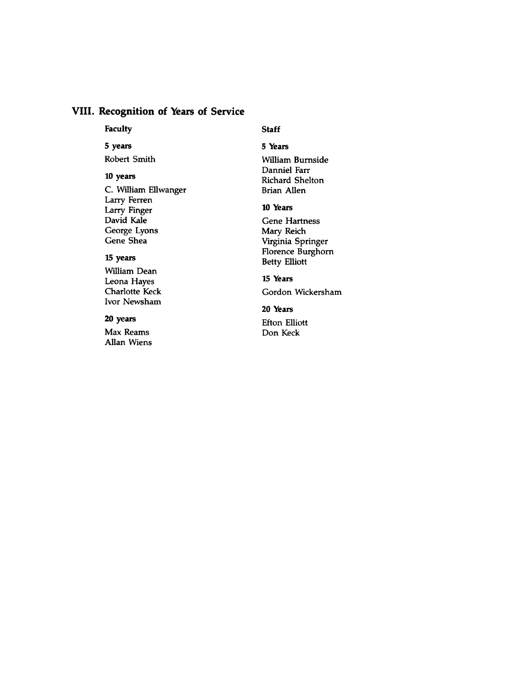#### **VIII. Recognition of Years of Service**

#### **Faculty**

#### **Staff**

**5 Years**

#### **5 years**

Robert Smith

#### **10 years**

C. William Ellwanger Larry Ferren Larry Finger David Kale George Lyons Gene Shea

#### **15 years**

William Dean Leona Hayes Charlotte Keck Ivor Newsham

#### **20 years**

Max Reams Allan Wiens

#### William Burnside Danniel Farr Richard Shelton Brian Allen

#### **10 Years**

Gene Hartness Mary Reich Virginia Springer Florence Burghorn Betty Elliott

#### **15 Years**

Gordon Wickersham

#### **20 Years**

Efton Elliott Don Keck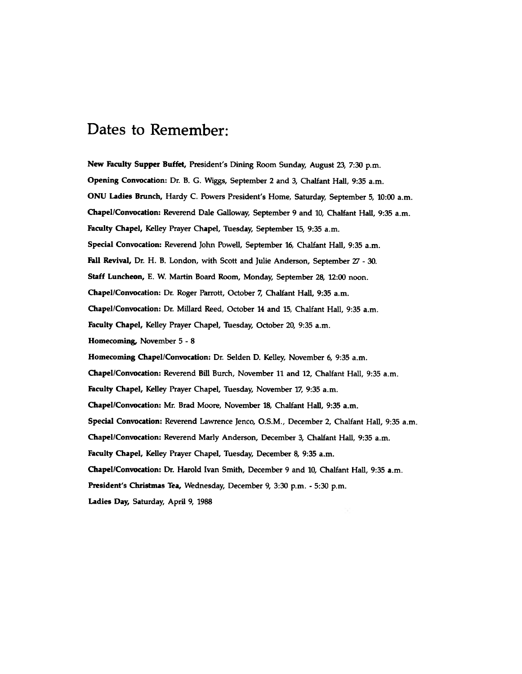### **Dates to Remember:**

**New Faculty Supper Buffet,** President's Dining Room Sunday, August 23, 7:30 p.m. **Opening Convocation:** Dr. **B.** G. Wiggs, September **2** and **3,** Chalfant Hall, **9:35** a.m. **ONU Ladies Brunch,** Hardy C. Powers President's Home, Saturday, September **5, 10:00** a.m. **Chapel/Convocation:** Reverend Dale Galloway, September **9** and **10,** Chalfant Hall, **9:35** a.m. **Faculty Chapel,** Kelley Prayer Chapel, Tuesday, September **15, 9:35** a.m. **Special Convocation:** Reverend John Powell, September 16, Chalfant Hall, 9:35 a.m. **Fall Revival,** Dr. H. B. London, with Scott and Julie Anderson, September 27 - 30. **Staff Luncheon,** E. W. Martin Board Room, Monday, September 28, 12:00 noon. **Chapel/Convocation:** Dr. Roger Parrott, October 7, Chalfant Hall, 9:35 a.m. **Chapel/Convocation:** Dr. Millard Reed, October 14 and 15, Chalfant Hall, 9:35 a.m. **Faculty Chapel,** Kelley Prayer Chapel, Tuesday, October 20, 9:35 a.m. **Homecoming,** November 5 - 8 **Homecoming Chapel/Convocation:** Dr. Selden D. Kelley, November 6, 9:35 a.m. **Chapel/Convocation:** Reverend Bill Burch, November 11 and 12, Chalfant Hall, 9:35 a.m. **Faculty Chapel,** Kelley Prayer Chapel, Tuesday, November 17, 9:35 a.m. **Chapel/Convocation:** Mr. Brad Moore, November 18, Chalfant Hall, 9:35 a.m. **Special Convocation:** Reverend Lawrence Jenco, O.S.M., December 2, Chalfant Hall, 9:35 a.m. **Chapel/Convocation:** Reverend Marly Anderson, December 3, Chalfant Hall, 9:35 a.m. **Faculty Chapel,** Kelley Prayer Chapel, Tuesday, December 8, 9:35 a.m. **Chapel/Convocation:** Dr. Harold Ivan Smith, December 9 and 10, Chalfant Hall, 9:35 a.m. **President's Christmas Tea,** Wednesday, December 9, 3:30 p.m. - 5:30 p.m. **Ladies Day,** Saturday, April 9, 1988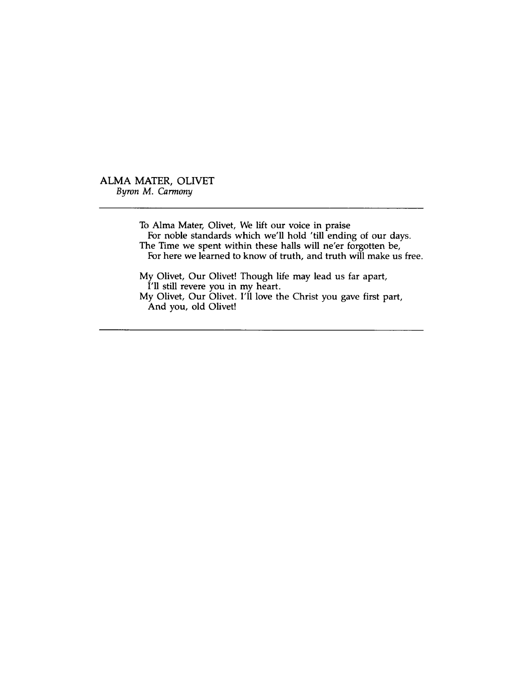ALMA MATER, OLIVET *Byron M. Carmony*

> To Alma Mater, Olivet, We lift our voice in praise For noble standards which we'll hold 'till ending of our days. The Time we spent within these halls will ne'er forgotten be, For here we learned to know of truth, and truth will make us free.

My Olivet, Our Olivet! Though life may lead us far apart, I'll still revere you in my heart. My Olivet, Our Olivet. I'll love the Christ you gave first part, And you, old Olivet!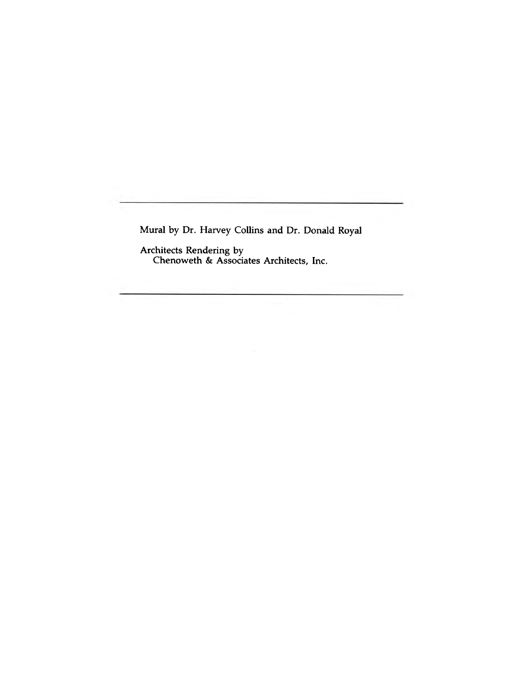Mural by Dr. Harvey Collins and Dr. Donald Royal

Architects Rendering by Chenoweth & Associates Architects, Inc.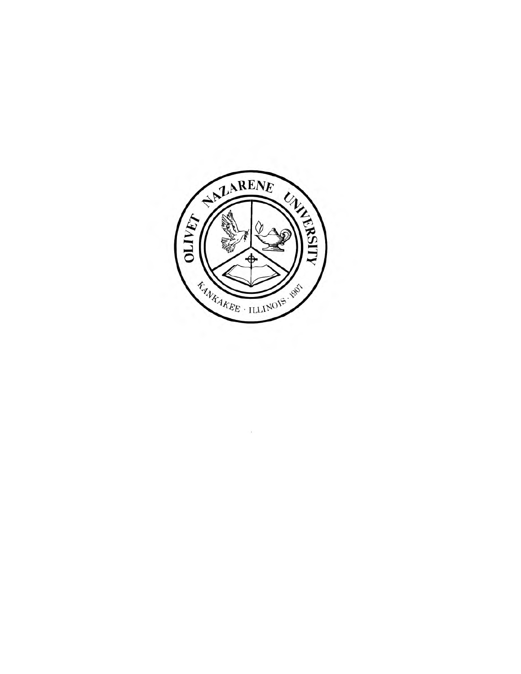

 $\mathcal{A}_1$